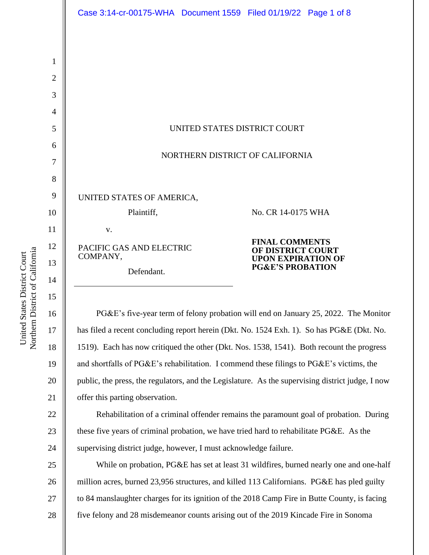|                | Case 3:14-cr-00175-WHA  Document 1559  Filed 01/19/22  Page 1 of 8                               |
|----------------|--------------------------------------------------------------------------------------------------|
|                |                                                                                                  |
| 1              |                                                                                                  |
| 2              |                                                                                                  |
| 3              |                                                                                                  |
| $\overline{4}$ |                                                                                                  |
| 5              | UNITED STATES DISTRICT COURT                                                                     |
| 6              |                                                                                                  |
| 7              | NORTHERN DISTRICT OF CALIFORNIA                                                                  |
| 8              |                                                                                                  |
| 9              | UNITED STATES OF AMERICA,                                                                        |
| 10             | Plaintiff,<br>No. CR 14-0175 WHA                                                                 |
| 11             | V.                                                                                               |
| 12             | <b>FINAL COMMENTS</b><br>PACIFIC GAS AND ELECTRIC<br>OF DISTRICT COURT                           |
| 13             | COMPANY,<br><b>UPON EXPIRATION OF</b><br><b>PG&amp;E'S PROBATION</b><br>Defendant.               |
| 14             |                                                                                                  |
| 15             |                                                                                                  |
| 16             | PG&E's five-year term of felony probation will end on January 25, 2022. The Monitor              |
| 17             | has filed a recent concluding report herein (Dkt. No. 1524 Exh. 1). So has PG&E (Dkt. No.        |
| 18             | 1519). Each has now critiqued the other (Dkt. Nos. 1538, 1541). Both recount the progress        |
| 19             | and shortfalls of PG&E's rehabilitation. I commend these filings to PG&E's victims, the          |
| 20             | public, the press, the regulators, and the Legislature. As the supervising district judge, I now |
| 21             | offer this parting observation.                                                                  |
| 22             | Rehabilitation of a criminal offender remains the paramount goal of probation. During            |
| 23             | these five years of criminal probation, we have tried hard to rehabilitate PG&E. As the          |
| 24             | supervising district judge, however, I must acknowledge failure.                                 |
| 25             | While on probation, PG&E has set at least 31 wildfires, burned nearly one and one-half           |

26 27 28 million acres, burned 23,956 structures, and killed 113 Californians. PG&E has pled guilty to 84 manslaughter charges for its ignition of the 2018 Camp Fire in Butte County, is facing five felony and 28 misdemeanor counts arising out of the 2019 Kincade Fire in Sonoma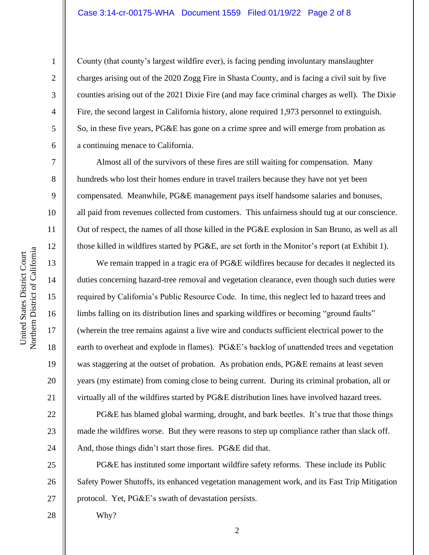# Case 3:14-cr-00175-WHA Document 1559 Filed 01/19/22 Page 2 of 8

10 11 12 Northern District of California Northern District of California 13 14 15 16 17 18

United States District Court

United States District Court

1

2

3

4

5

6

7

8

9

19

20

21

22

23

24

County (that county's largest wildfire ever), is facing pending involuntary manslaughter charges arising out of the 2020 Zogg Fire in Shasta County, and is facing a civil suit by five counties arising out of the 2021 Dixie Fire (and may face criminal charges as well). The Dixie Fire, the second largest in California history, alone required 1,973 personnel to extinguish. So, in these five years, PG&E has gone on a crime spree and will emerge from probation as a continuing menace to California.

Almost all of the survivors of these fires are still waiting for compensation. Many hundreds who lost their homes endure in travel trailers because they have not yet been compensated. Meanwhile, PG&E management pays itself handsome salaries and bonuses, all paid from revenues collected from customers. This unfairness should tug at our conscience. Out of respect, the names of all those killed in the PG&E explosion in San Bruno, as well as all those killed in wildfires started by PG&E, are set forth in the Monitor's report (at Exhibit 1).

We remain trapped in a tragic era of PG&E wildfires because for decades it neglected its duties concerning hazard-tree removal and vegetation clearance, even though such duties were required by California's Public Resource Code. In time, this neglect led to hazard trees and limbs falling on its distribution lines and sparking wildfires or becoming "ground faults" (wherein the tree remains against a live wire and conducts sufficient electrical power to the earth to overheat and explode in flames). PG&E's backlog of unattended trees and vegetation was staggering at the outset of probation. As probation ends, PG&E remains at least seven years (my estimate) from coming close to being current. During its criminal probation, all or virtually all of the wildfires started by PG&E distribution lines have involved hazard trees.

PG&E has blamed global warming, drought, and bark beetles. It's true that those things made the wildfires worse. But they were reasons to step up compliance rather than slack off. And, those things didn't start those fires. PG&E did that.

25 26 27 PG&E has instituted some important wildfire safety reforms. These include its Public Safety Power Shutoffs, its enhanced vegetation management work, and its Fast Trip Mitigation protocol. Yet, PG&E's swath of devastation persists.

28

Why?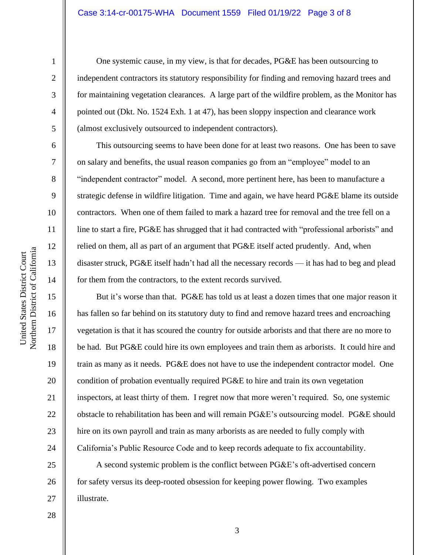## Case 3:14-cr-00175-WHA Document 1559 Filed 01/19/22 Page 3 of 8

10 11 12 Northern District of California Northern District of California United States District Court 13 14 15 16 17 18

United States District Court

1

2

3

4

5

6

7

8

9

One systemic cause, in my view, is that for decades, PG&E has been outsourcing to independent contractors its statutory responsibility for finding and removing hazard trees and for maintaining vegetation clearances. A large part of the wildfire problem, as the Monitor has pointed out (Dkt. No. 1524 Exh. 1 at 47), has been sloppy inspection and clearance work (almost exclusively outsourced to independent contractors).

This outsourcing seems to have been done for at least two reasons. One has been to save on salary and benefits, the usual reason companies go from an "employee" model to an "independent contractor" model. A second, more pertinent here, has been to manufacture a strategic defense in wildfire litigation. Time and again, we have heard PG&E blame its outside contractors. When one of them failed to mark a hazard tree for removal and the tree fell on a line to start a fire, PG&E has shrugged that it had contracted with "professional arborists" and relied on them, all as part of an argument that PG&E itself acted prudently. And, when disaster struck, PG&E itself hadn't had all the necessary records — it has had to beg and plead for them from the contractors, to the extent records survived.

But it's worse than that. PG&E has told us at least a dozen times that one major reason it has fallen so far behind on its statutory duty to find and remove hazard trees and encroaching vegetation is that it has scoured the country for outside arborists and that there are no more to be had. But PG&E could hire its own employees and train them as arborists. It could hire and train as many as it needs. PG&E does not have to use the independent contractor model. One condition of probation eventually required PG&E to hire and train its own vegetation inspectors, at least thirty of them. I regret now that more weren't required. So, one systemic obstacle to rehabilitation has been and will remain PG&E's outsourcing model. PG&E should hire on its own payroll and train as many arborists as are needed to fully comply with California's Public Resource Code and to keep records adequate to fix accountability.

A second systemic problem is the conflict between PG&E's oft-advertised concern for safety versus its deep-rooted obsession for keeping power flowing. Two examples illustrate.

28

19

20

21

22

23

24

25

26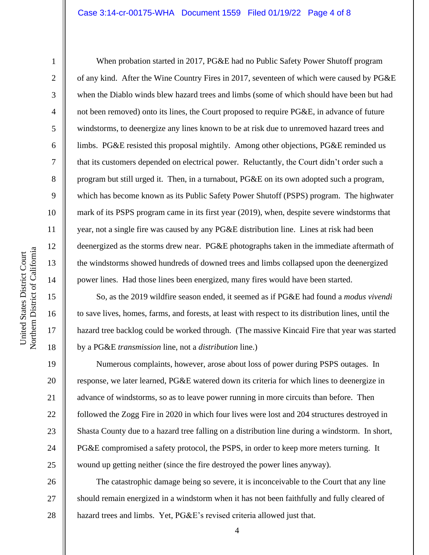#### Case 3:14-cr-00175-WHA Document 1559 Filed 01/19/22 Page 4 of 8

1

2

3

4

5

6

7

8

9

10

11

12

13

14

15

16

17

18

19

20

21

22

23

24

25

When probation started in 2017, PG&E had no Public Safety Power Shutoff program of any kind. After the Wine Country Fires in 2017, seventeen of which were caused by PG&E when the Diablo winds blew hazard trees and limbs (some of which should have been but had not been removed) onto its lines, the Court proposed to require PG&E, in advance of future windstorms, to deenergize any lines known to be at risk due to unremoved hazard trees and limbs. PG&E resisted this proposal mightily. Among other objections, PG&E reminded us that its customers depended on electrical power. Reluctantly, the Court didn't order such a program but still urged it. Then, in a turnabout, PG&E on its own adopted such a program, which has become known as its Public Safety Power Shutoff (PSPS) program. The highwater mark of its PSPS program came in its first year (2019), when, despite severe windstorms that year, not a single fire was caused by any PG&E distribution line. Lines at risk had been deenergized as the storms drew near. PG&E photographs taken in the immediate aftermath of the windstorms showed hundreds of downed trees and limbs collapsed upon the deenergized power lines. Had those lines been energized, many fires would have been started.

So, as the 2019 wildfire season ended, it seemed as if PG&E had found a *modus vivendi* to save lives, homes, farms, and forests, at least with respect to its distribution lines, until the hazard tree backlog could be worked through. (The massive Kincaid Fire that year was started by a PG&E *transmission* line, not a *distribution* line.)

Numerous complaints, however, arose about loss of power during PSPS outages. In response, we later learned, PG&E watered down its criteria for which lines to deenergize in advance of windstorms, so as to leave power running in more circuits than before. Then followed the Zogg Fire in 2020 in which four lives were lost and 204 structures destroyed in Shasta County due to a hazard tree falling on a distribution line during a windstorm. In short, PG&E compromised a safety protocol, the PSPS, in order to keep more meters turning. It wound up getting neither (since the fire destroyed the power lines anyway).

26 27 28 The catastrophic damage being so severe, it is inconceivable to the Court that any line should remain energized in a windstorm when it has not been faithfully and fully cleared of hazard trees and limbs. Yet, PG&E's revised criteria allowed just that.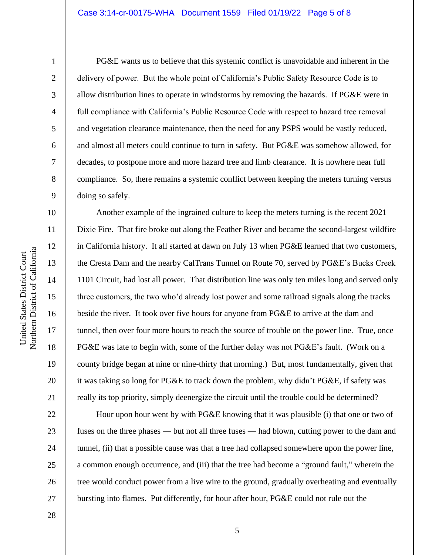### Case 3:14-cr-00175-WHA Document 1559 Filed 01/19/22 Page 5 of 8

1

2

3

4

5

6

7

8

9

10

11

12

13

14

15

16

17

18

19

20

21

22

23

24

25

26

27

PG&E wants us to believe that this systemic conflict is unavoidable and inherent in the delivery of power. But the whole point of California's Public Safety Resource Code is to allow distribution lines to operate in windstorms by removing the hazards. If PG&E were in full compliance with California's Public Resource Code with respect to hazard tree removal and vegetation clearance maintenance, then the need for any PSPS would be vastly reduced, and almost all meters could continue to turn in safety. But PG&E was somehow allowed, for decades, to postpone more and more hazard tree and limb clearance. It is nowhere near full compliance. So, there remains a systemic conflict between keeping the meters turning versus doing so safely.

Another example of the ingrained culture to keep the meters turning is the recent 2021 Dixie Fire. That fire broke out along the Feather River and became the second-largest wildfire in California history. It all started at dawn on July 13 when PG&E learned that two customers, the Cresta Dam and the nearby CalTrans Tunnel on Route 70, served by PG&E's Bucks Creek 1101 Circuit, had lost all power. That distribution line was only ten miles long and served only three customers, the two who'd already lost power and some railroad signals along the tracks beside the river. It took over five hours for anyone from PG&E to arrive at the dam and tunnel, then over four more hours to reach the source of trouble on the power line. True, once PG&E was late to begin with, some of the further delay was not  $PGEE$ 's fault. (Work on a county bridge began at nine or nine-thirty that morning.) But, most fundamentally, given that it was taking so long for PG&E to track down the problem, why didn't PG&E, if safety was really its top priority, simply deenergize the circuit until the trouble could be determined?

Hour upon hour went by with PG&E knowing that it was plausible (i) that one or two of fuses on the three phases — but not all three fuses — had blown, cutting power to the dam and tunnel, (ii) that a possible cause was that a tree had collapsed somewhere upon the power line, a common enough occurrence, and (iii) that the tree had become a "ground fault," wherein the tree would conduct power from a live wire to the ground, gradually overheating and eventually bursting into flames. Put differently, for hour after hour, PG&E could not rule out the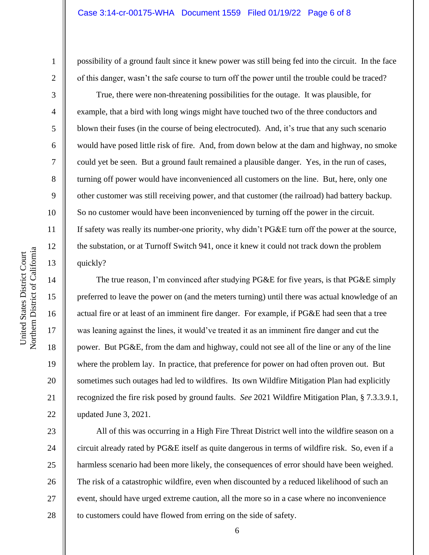possibility of a ground fault since it knew power was still being fed into the circuit. In the face of this danger, wasn't the safe course to turn off the power until the trouble could be traced?

True, there were non-threatening possibilities for the outage. It was plausible, for example, that a bird with long wings might have touched two of the three conductors and blown their fuses (in the course of being electrocuted). And, it's true that any such scenario would have posed little risk of fire. And, from down below at the dam and highway, no smoke could yet be seen. But a ground fault remained a plausible danger. Yes, in the run of cases, turning off power would have inconvenienced all customers on the line. But, here, only one other customer was still receiving power, and that customer (the railroad) had battery backup. So no customer would have been inconvenienced by turning off the power in the circuit. If safety was really its number-one priority, why didn't PG&E turn off the power at the source, the substation, or at Turnoff Switch 941, once it knew it could not track down the problem quickly?

The true reason, I'm convinced after studying PG&E for five years, is that PG&E simply preferred to leave the power on (and the meters turning) until there was actual knowledge of an actual fire or at least of an imminent fire danger. For example, if PG&E had seen that a tree was leaning against the lines, it would've treated it as an imminent fire danger and cut the power. But PG&E, from the dam and highway, could not see all of the line or any of the line where the problem lay. In practice, that preference for power on had often proven out. But sometimes such outages had led to wildfires. Its own Wildfire Mitigation Plan had explicitly recognized the fire risk posed by ground faults. *See* 2021 Wildfire Mitigation Plan, § 7.3.3.9.1, updated June 3, 2021.

26 All of this was occurring in a High Fire Threat District well into the wildfire season on a circuit already rated by PG&E itself as quite dangerous in terms of wildfire risk. So, even if a harmless scenario had been more likely, the consequences of error should have been weighed. The risk of a catastrophic wildfire, even when discounted by a reduced likelihood of such an event, should have urged extreme caution, all the more so in a case where no inconvenience to customers could have flowed from erring on the side of safety.

1

2

3

4

5

6

7

8

9

10

11

12

13

14

15

16

17

18

19

20

21

22

23

24

25

27

28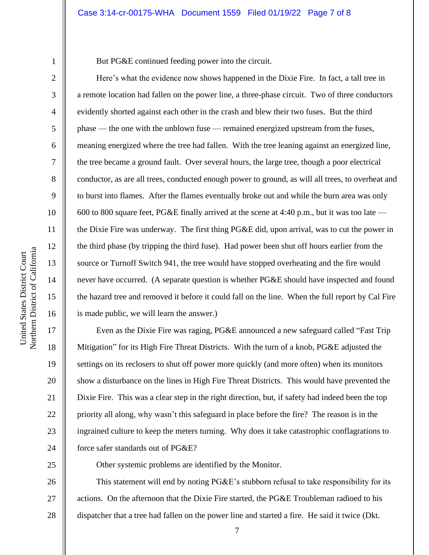1

2

3

4

5

6

7

8

9

10

11

12

13

14

15

16

17

18

19

20

21

22

23

24

But PG&E continued feeding power into the circuit.

Here's what the evidence now shows happened in the Dixie Fire. In fact, a tall tree in a remote location had fallen on the power line, a three-phase circuit. Two of three conductors evidently shorted against each other in the crash and blew their two fuses. But the third phase –– the one with the unblown fuse –– remained energized upstream from the fuses, meaning energized where the tree had fallen. With the tree leaning against an energized line, the tree became a ground fault. Over several hours, the large tree, though a poor electrical conductor, as are all trees, conducted enough power to ground, as will all trees, to overheat and to burst into flames. After the flames eventually broke out and while the burn area was only 600 to 800 square feet, PG&E finally arrived at the scene at 4:40 p.m., but it was too late the Dixie Fire was underway. The first thing PG&E did, upon arrival, was to cut the power in the third phase (by tripping the third fuse). Had power been shut off hours earlier from the source or Turnoff Switch 941, the tree would have stopped overheating and the fire would never have occurred. (A separate question is whether PG&E should have inspected and found the hazard tree and removed it before it could fall on the line. When the full report by Cal Fire is made public, we will learn the answer.)

Even as the Dixie Fire was raging, PG&E announced a new safeguard called "Fast Trip Mitigation" for its High Fire Threat Districts. With the turn of a knob, PG&E adjusted the settings on its reclosers to shut off power more quickly (and more often) when its monitors show a disturbance on the lines in High Fire Threat Districts. This would have prevented the Dixie Fire. This was a clear step in the right direction, but, if safety had indeed been the top priority all along, why wasn't this safeguard in place before the fire? The reason is in the ingrained culture to keep the meters turning. Why does it take catastrophic conflagrations to force safer standards out of PG&E?

25

Other systemic problems are identified by the Monitor.

26 27 28 This statement will end by noting PG&E's stubborn refusal to take responsibility for its actions. On the afternoon that the Dixie Fire started, the PG&E Troubleman radioed to his dispatcher that a tree had fallen on the power line and started a fire. He said it twice (Dkt.